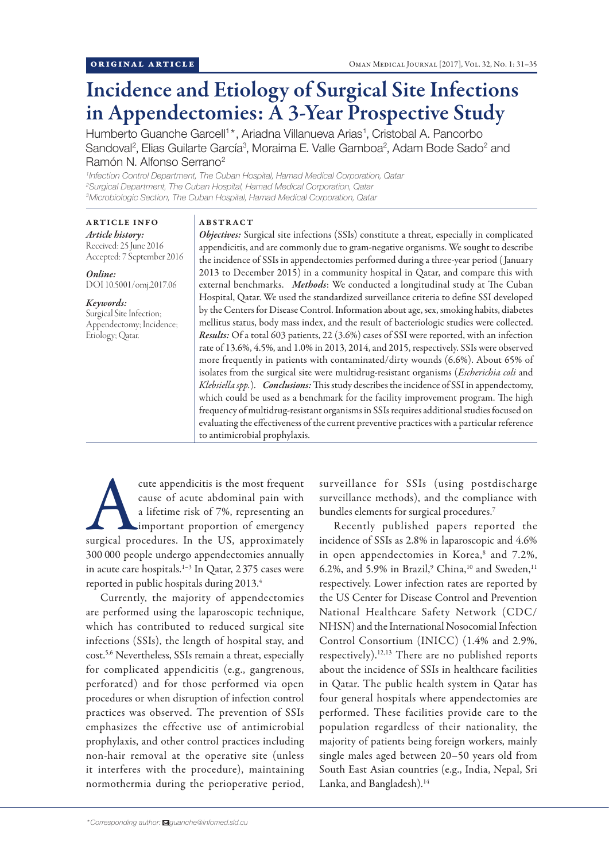# Incidence and Etiology of Surgical Site Infections in Appendectomies: A 3-Year Prospective Study

Humberto Guanche Garcell<sup>1\*</sup>, Ariadna Villanueva Arias<sup>1</sup>, Cristobal A. Pancorbo Sandoval<sup>2</sup>, Elias Guilarte García<sup>3</sup>, Moraima E. Valle Gamboa<sup>2</sup>, Adam Bode Sado<sup>2</sup> and Ramón N. Alfonso Serrano<sup>2</sup>

*1 Infection Control Department, The Cuban Hospital, Hamad Medical Corporation, Qatar 2 Surgical Department, The Cuban Hospital, Hamad Medical Corporation, Qatar 3 Microbiologic Section, The Cuban Hospital, Hamad Medical Corporation, Qatar*

## ABSTRACT

ARTICLE INFO *Article history:* Received: 25 June 2016 Accepted: 7 September 2016

*Online:* DOI 10.5001/omj.2017.06

## *Keywords:*

Surgical Site Infection; Appendectomy; Incidence; Etiology; Qatar.

*Objectives:* Surgical site infections (SSIs) constitute a threat, especially in complicated appendicitis, and are commonly due to gram-negative organisms. We sought to describe the incidence of SSIs in appendectomies performed during a three-year period ( January 2013 to December 2015) in a community hospital in Qatar, and compare this with external benchmarks. *Methods*: We conducted a longitudinal study at The Cuban Hospital, Qatar. We used the standardized surveillance criteria to define SSI developed by the Centers for Disease Control. Information about age, sex, smoking habits, diabetes mellitus status, body mass index, and the result of bacteriologic studies were collected. *Results:* Of a total 603 patients, 22 (3.6%) cases of SSI were reported, with an infection rate of 13.6%, 4.5%, and 1.0% in 2013, 2014, and 2015, respectively. SSIs were observed more frequently in patients with contaminated/dirty wounds (6.6%). About 65% of isolates from the surgical site were multidrug-resistant organisms (*Escherichia coli* and *Klebsiella spp.*). *Conclusions:* This study describes the incidence of SSI in appendectomy, which could be used as a benchmark for the facility improvement program. The high frequency of multidrug-resistant organisms in SSIs requires additional studies focused on evaluating the effectiveness of the current preventive practices with a particular reference to antimicrobial prophylaxis.

cute appendicitis is the most frequent cause of acute abdominal pain with a lifetime risk of 7%, representing an important proportion of emergency surgical procedures. In the US, approximately cause of acute abdominal pain with a lifetime risk of 7%, representing an important proportion of emergency 300 000 people undergo appendectomies annually in acute care hospitals. $1-3$  In Qatar, 2 375 cases were reported in public hospitals during 2013.4

Currently, the majority of appendectomies are performed using the laparoscopic technique, which has contributed to reduced surgical site infections (SSIs), the length of hospital stay, and cost.5,6 Nevertheless, SSIs remain a threat, especially for complicated appendicitis (e.g., gangrenous, perforated) and for those performed via open procedures or when disruption of infection control practices was observed. The prevention of SSIs emphasizes the effective use of antimicrobial prophylaxis, and other control practices including non-hair removal at the operative site (unless it interferes with the procedure), maintaining normothermia during the perioperative period, sur veillance for SSIs (using postdischarge surveillance methods), and the compliance with bundles elements for surgical procedures.7

Recently published papers reported the incidence of SSIs as 2.8% in laparoscopic and 4.6% in open appendectomies in Korea,<sup>8</sup> and 7.2%, 6.2%, and 5.9% in Brazil,<sup>9</sup> China,<sup>10</sup> and Sweden,<sup>11</sup> respectively. Lower infection rates are reported by the US Center for Disease Control and Prevention National Healthcare Safety Network (CDC/ NHSN) and the International Nosocomial Infection Control Consortium (INICC) (1.4% and 2.9%, respectively).12,13 There are no published reports about the incidence of SSIs in healthcare facilities in Qatar. The public health system in Qatar has four general hospitals where appendectomies are performed. These facilities provide care to the population regardless of their nationality, the majority of patients being foreign workers, mainly single males aged between 20–50 years old from South East Asian countries (e.g., India, Nepal, Sri Lanka, and Bangladesh).<sup>14</sup>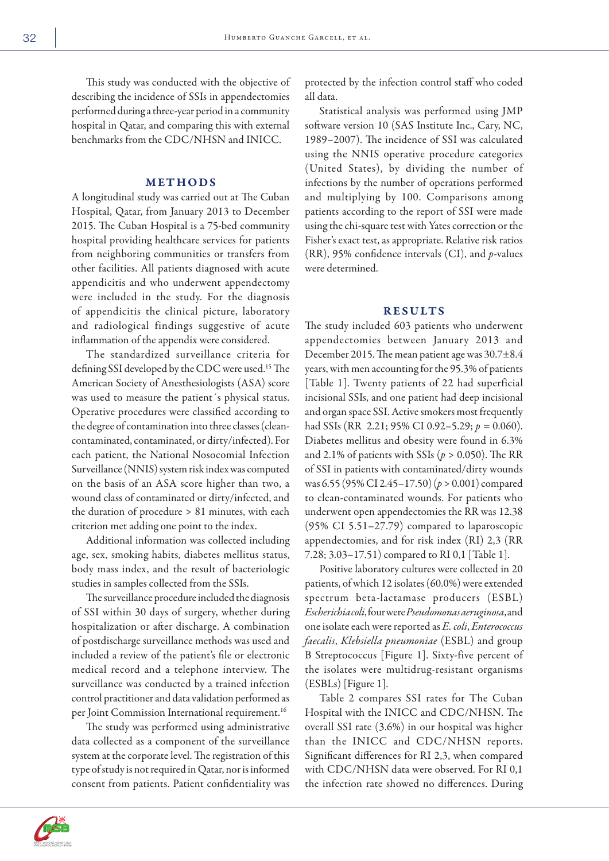This study was conducted with the objective of describing the incidence of SSIs in appendectomies performed during a three-year period in a community hospital in Qatar, and comparing this with external benchmarks from the CDC/NHSN and INICC.

### METHODS

A longitudinal study was carried out at The Cuban Hospital, Qatar, from January 2013 to December 2015. The Cuban Hospital is a 75-bed community hospital providing healthcare services for patients from neighboring communities or transfers from other facilities. All patients diagnosed with acute appendicitis and who underwent appendectomy were included in the study. For the diagnosis of appendicitis the clinical picture, laboratory and radiological findings suggestive of acute inflammation of the appendix were considered.

The standardized surveillance criteria for defining SSI developed by the CDC were used.<sup>15</sup> The American Society of Anesthesiologists (ASA) score was used to measure the patient´s physical status. Operative procedures were classified according to the degree of contamination into three classes (cleancontaminated, contaminated, or dirty/infected). For each patient, the National Nosocomial Infection Surveillance (NNIS) system risk index was computed on the basis of an ASA score higher than two, a wound class of contaminated or dirty/infected, and the duration of procedure > 81 minutes, with each criterion met adding one point to the index.

Additional information was collected including age, sex, smoking habits, diabetes mellitus status, body mass index, and the result of bacteriologic studies in samples collected from the SSIs.

The surveillance procedure included the diagnosis of SSI within 30 days of surgery, whether during hospitalization or after discharge. A combination of postdischarge surveillance methods was used and included a review of the patient's file or electronic medical record and a telephone interview. The surveillance was conducted by a trained infection control practitioner and data validation performed as per Joint Commission International requirement.<sup>16</sup>

The study was performed using administrative data collected as a component of the surveillance system at the corporate level. The registration of this type of study is not required in Qatar, nor is informed consent from patients. Patient confidentiality was protected by the infection control staff who coded all data.

Statistical analysis was performed using JMP software version 10 (SAS Institute Inc., Cary, NC, 1989–2007). The incidence of SSI was calculated using the NNIS operative procedure categories (United States), by dividing the number of infections by the number of operations performed and multiplying by 100. Comparisons among patients according to the report of SSI were made using the chi-square test with Yates correction or the Fisher's exact test, as appropriate. Relative risk ratios (RR), 95% confidence intervals (CI), and *p*-values were determined.

## RESULTS

The study included 603 patients who underwent appendectomies between January 2013 and December 2015. The mean patient age was 30.7±8.4 years, with men accounting for the 95.3% of patients [Table 1]. Twenty patients of 22 had superficial incisional SSIs, and one patient had deep incisional and organ space SSI. Active smokers most frequently had SSIs (RR 2.21; 95% CI 0.92–5.29; *p =* 0.060). Diabetes mellitus and obesity were found in 6.3% and 2.1% of patients with SSIs ( $p > 0.050$ ). The RR of SSI in patients with contaminated/dirty wounds was 6.55 (95% CI 2.45–17.50) (*p* > 0.001) compared to clean-contaminated wounds. For patients who underwent open appendectomies the RR was 12.38 (95% CI 5.51–27.79) compared to laparoscopic appendectomies, and for risk index (RI) 2,3 (RR 7.28; 3.03–17.51) compared to RI 0,1 [Table 1].

Positive laboratory cultures were collected in 20 patients, of which 12 isolates (60.0%) were extended spectrum beta-lactamase producers (ESBL) *Escherichia coli*, four were *Pseudomonasaeruginosa*, and one isolate each were reported as *E. coli*, *Enterococcus faecalis*, *Klebsiella pneumoniae* (ESBL) and group B Streptococcus [Figure 1]. Sixty-five percent of the isolates were multidrug-resistant organisms (ESBLs) [Figure 1].

Table 2 compares SSI rates for The Cuban Hospital with the INICC and CDC/NHSN. The overall SSI rate (3.6%) in our hospital was higher than the INICC and CDC/NHSN reports. Significant differences for RI 2,3, when compared with CDC/NHSN data were observed. For RI 0,1 the infection rate showed no differences. During

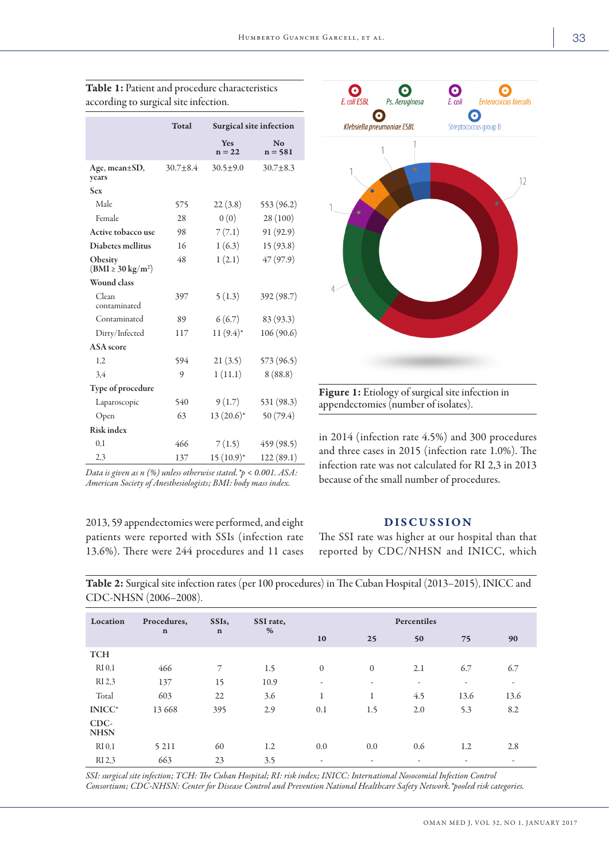|                                          | Total        | Surgical site infection     |                             |  |
|------------------------------------------|--------------|-----------------------------|-----------------------------|--|
|                                          |              | <b>Yes</b><br>$n = 22$      | N <sub>0</sub><br>$n = 581$ |  |
| Age, mean±SD,<br>years                   | $30.7 + 8.4$ | $30.5 \pm 9.0$              | $30.7 + 8.3$                |  |
| <b>Sex</b>                               |              |                             |                             |  |
| Male                                     | 575          | 22(3.8)<br>553 (96.2)       |                             |  |
| Female                                   | 28           | 0(0)                        | 28(100)                     |  |
| <b>Active tobacco use</b>                | 98           | 7(7.1)                      | 91 (92.9)                   |  |
| Diabetes mellitus                        | 16           | 1(6.3)                      | 15(93.8)                    |  |
| Obesity<br>$(BMI \ge 30 \text{ kg/m}^2)$ | 48           | 1(2.1)                      | 47(97.9)                    |  |
| Wound class                              |              |                             |                             |  |
| Clean<br>contaminated                    | 397          | 5(1.3)                      | 392 (98.7)                  |  |
| Contaminated                             | 89           | 6(6.7)                      | 83 (93.3)                   |  |
| Dirty/Infected                           | 117          | $11(9.4)^{*}$<br>106 (90.6) |                             |  |
| ASA score                                |              |                             |                             |  |
| 1,2                                      | 594          | 21(3.5)<br>573 (96.5)       |                             |  |
| 3,4                                      | 9            | 1(11.1)<br>8(88.8)          |                             |  |
| Type of procedure                        |              |                             |                             |  |
| Laparoscopic                             | 540          | 9(1.7)<br>531 (98.3)        |                             |  |
| Open                                     | 63           | $13(20.6)^*$<br>50 (79.4)   |                             |  |
| <b>Risk index</b>                        |              |                             |                             |  |
| 0,1                                      | 466          | 7(1.5)                      | 459 (98.5)                  |  |
| 2,3                                      | 137          | $15(10.9)^{*}$              | 122(89.1)                   |  |

Table 1: Patient and procedure characteristics according to surgical site infection.



Figure 1: Etiology of surgical site infection in appendectomies (number of isolates).

*Data is given as n (%) unless otherwise stated.\*p < 0.001. ASA: American Society of Anesthesiologists; BMI: body mass index.*

in 2014 (infection rate 4.5%) and 300 procedures and three cases in 2015 (infection rate 1.0%). The infection rate was not calculated for RI 2,3 in 2013 because of the small number of procedures.

DISCUSSION

2013, 59 appendectomies were performed, and eight patients were reported with SSIs (infection rate 13.6%). There were 244 procedures and 11 cases

The SSI rate was higher at our hospital than that reported by CDC/NHSN and INICC, which

| $= -1$              |                            |                      |                |                |          |                          |      |                          |  |  |
|---------------------|----------------------------|----------------------|----------------|----------------|----------|--------------------------|------|--------------------------|--|--|
| Location            | Procedures,<br>$\mathbf n$ | SSIs,<br>$\mathbf n$ | SSI rate,<br>% | Percentiles    |          |                          |      |                          |  |  |
|                     |                            |                      |                | 10             | 25       | 50                       | 75   | 90                       |  |  |
| <b>TCH</b>          |                            |                      |                |                |          |                          |      |                          |  |  |
| $RI$ 0,1            | 466                        | 7                    | 1.5            | $\overline{0}$ | $\theta$ | 2.1                      | 6.7  | 6.7                      |  |  |
| RI 2,3              | 137                        | 15                   | 10.9           | ٠              | ٠        | $\overline{\phantom{a}}$ | ٠    | $\overline{\phantom{a}}$ |  |  |
| Total               | 603                        | 22                   | 3.6            | 1              | 1        | 4.5                      | 13.6 | 13.6                     |  |  |
| INICC*              | 13 668                     | 395                  | 2.9            | 0.1            | 1.5      | 2.0                      | 5.3  | 8.2                      |  |  |
| CDC-<br><b>NHSN</b> |                            |                      |                |                |          |                          |      |                          |  |  |
| $RI$ 0,1            | 5 2 1 1                    | 60                   | 1.2            | 0.0            | 0.0      | 0.6                      | 1.2  | 2.8                      |  |  |
| RI 2,3              | 663                        | 23                   | 3.5            |                |          |                          |      |                          |  |  |

Table 2: Surgical site infection rates (per 100 procedures) in The Cuban Hospital (2013–2015), INICC and CDC-NHSN (2006–2008).

*SSI: surgical site infection; TCH: The Cuban Hospital; RI: risk index; INICC: International Nosocomial Infection Control Consortium; CDC-NHSN: Center for Disease Control and Prevention National Healthcare Safety Network.\*pooled risk categories.*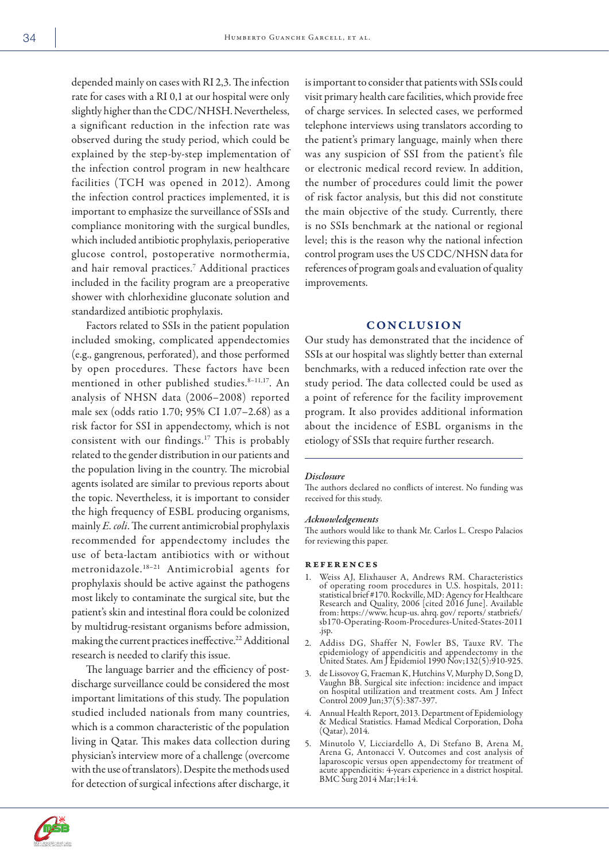depended mainly on cases with RI 2,3. The infection rate for cases with a RI 0,1 at our hospital were only slightly higher than the CDC/NHSH. Nevertheless, a significant reduction in the infection rate was observed during the study period, which could be explained by the step-by-step implementation of the infection control program in new healthcare facilities (TCH was opened in 2012). Among the infection control practices implemented, it is important to emphasize the surveillance of SSIs and compliance monitoring with the surgical bundles, which included antibiotic prophylaxis, perioperative glucose control, postoperative normothermia, and hair removal practices.7 Additional practices included in the facility program are a preoperative shower with chlorhexidine gluconate solution and standardized antibiotic prophylaxis.

Factors related to SSIs in the patient population included smoking, complicated appendectomies (e.g., gangrenous, perforated), and those performed by open procedures. These factors have been mentioned in other published studies.<sup>8-11,17</sup>. An analysis of NHSN data (2006–2008) reported male sex (odds ratio 1.70; 95% CI 1.07–2.68) as a risk factor for SSI in appendectomy, which is not consistent with our findings.17 This is probably related to the gender distribution in our patients and the population living in the country. The microbial agents isolated are similar to previous reports about the topic. Nevertheless, it is important to consider the high frequency of ESBL producing organisms, mainly *E. coli*. The current antimicrobial prophylaxis recommended for appendectomy includes the use of beta-lactam antibiotics with or without metronidazole.18–21 Antimicrobial agents for prophylaxis should be active against the pathogens most likely to contaminate the surgical site, but the patient's skin and intestinal flora could be colonized by multidrug-resistant organisms before admission, making the current practices ineffective.<sup>22</sup> Additional research is needed to clarify this issue.

The language barrier and the efficiency of postdischarge surveillance could be considered the most important limitations of this study. The population studied included nationals from many countries, which is a common characteristic of the population living in Qatar. This makes data collection during physician's interview more of a challenge (overcome with the use of translators). Despite the methods used for detection of surgical infections after discharge, it is important to consider that patients with SSIs could visit primary health care facilities, which provide free of charge services. In selected cases, we performed telephone interviews using translators according to the patient's primary language, mainly when there was any suspicion of SSI from the patient's file or electronic medical record review. In addition, the number of procedures could limit the power of risk factor analysis, but this did not constitute the main objective of the study. Currently, there is no SSIs benchmark at the national or regional level; this is the reason why the national infection control program uses the US CDC/NHSN data for references of program goals and evaluation of quality improvements.

## **CONCLUSION**

Our study has demonstrated that the incidence of SSIs at our hospital was slightly better than external benchmarks, with a reduced infection rate over the study period. The data collected could be used as a point of reference for the facility improvement program. It also provides additional information about the incidence of ESBL organisms in the etiology of SSIs that require further research.

#### *Disclosure*

The authors declared no conflicts of interest. No funding was received for this study.

#### *Acknowledgements*

The authors would like to thank Mr. Carlos L. Crespo Palacios for reviewing this paper.

#### references

- Weiss AJ, Elixhauser A, Andrews RM. Characteristics of operating room procedures in U.S. hospitals, 2011: statistical brief #170. Rockville, MD: Agency for Healthcare Research and Quality, 2006 [cited 2016 June]. Available from: https://www. hcup-us. ahrq. gov/ reports/ statbriefs/ sb170-Operating-Room-Procedures-United-States-2011 .jsp.
- 2. Addiss DG, Shaffer N, Fowler BS, Tauxe RV. The epidemiology of appendicitis and appendectomy in the United States. Am J Epidemiol 1990 Nov;132(5):910-925.
- 3. de Lissovoy G, Fraeman K, Hutchins V, Murphy D, Song D, Vaughn BB. Surgical site infection: incidence and impact on hospital utilization and treatment costs. Am J Infect Control 2009 Jun;37(5):387-397.
- 4. Annual Health Report, 2013. Department of Epidemiology & Medical Statistics. Hamad Medical Corporation, Doha (Qatar), 2014.
- 5. Minutolo V, Licciardello A, Di Stefano B, Arena M, Arena G, Antonacci V. Outcomes and cost analysis of laparoscopic versus open appendectomy for treatment of acute appendicitis: 4-years experience in a district hospital. BMC Surg 2014 Mar;14:14.